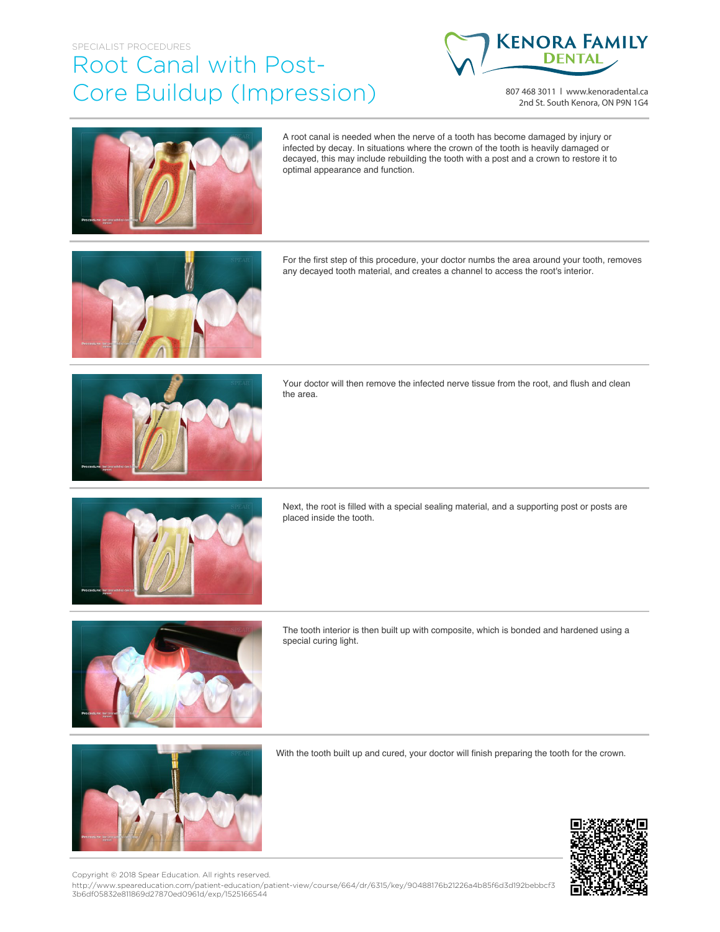## SPECIALIST PROCEDURES Root Canal with Post-Core Buildup (Impression)



807 468 3011 | www.kenoradental.ca 2nd St. South Kenora, ON P9N 1G4



A root canal is needed when the nerve of a tooth has become damaged by injury or infected by decay. In situations where the crown of the tooth is heavily damaged or decayed, this may include rebuilding the tooth with a post and a crown to restore it to optimal appearance and function.



For the first step of this procedure, your doctor numbs the area around your tooth, removes any decayed tooth material, and creates a channel to access the root's interior.



Your doctor will then remove the infected nerve tissue from the root, and flush and clean the area.



Next, the root is filled with a special sealing material, and a supporting post or posts are placed inside the tooth.



The tooth interior is then built up with composite, which is bonded and hardened using a special curing light.



With the tooth built up and cured, your doctor will finish preparing the tooth for the crown.



Copyright © 2018 Spear Education. All rights reserved.

http://www.speareducation.com/patient-education/patient-view/course/664/dr/6315/key/90488176b21226a4b85f6d3d192bebbcf3 3b6df05832e811869d27870ed0961d/exp/1525166544